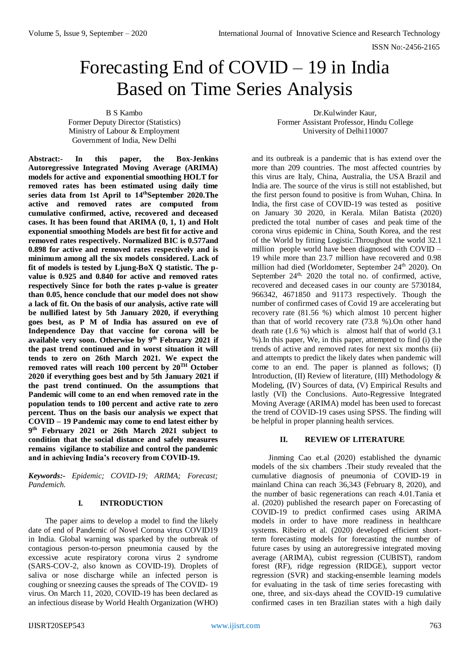# Forecasting End of COVID – 19 in India Based on Time Series Analysis

B S Kambo

Former Deputy Director (Statistics) Ministry of Labour & Employment Government of India, New Delhi

Dr.Kulwinder Kaur, Former Assistant Professor, Hindu College University of Delhi110007

**Abstract:- In this paper, the Box-Jenkins Autoregressive Integrated Moving Average (ARIMA) models for active and exponential smoothing HOLT for removed rates has been estimated using daily time series data from 1st April to 14thSeptember 2020.The active and removed rates are computed from cumulative confirmed, active, recovered and deceased cases. It has been found that ARIMA (0, 1, 1) and Holt exponential smoothing Models are best fit for active and removed rates respectively. Normalized BIC is 0.577and 0.898 for active and removed rates respectively and is minimum among all the six models considered. Lack of fit of models is tested by Ljung-BoX Q statistic. The pvalue is 0.925 and 0.840 for active and removed rates respectively Since for both the rates p-value is greater than 0.05, hence conclude that our model does not show a lack of fit. On the basis of our analysis, active rate will be nullified latest by 5th January 2020, if everything goes best, as P M of India has assured on eve of Independence Day that vaccine for corona will be available very soon. Otherwise by 9 th February 2021 if the past trend continued and in worst situation it will tends to zero on 26th March 2021. We expect the removed rates will reach 100 percent by 20TH October 2020 if everything goes best and by 5th January 2021 if the past trend continued. On the assumptions that Pandemic will come to an end when removed rate in the population tends to 100 percent and active rate to zero percent. Thus on the basis our analysis we expect that COVID – 19 Pandemic may come to end latest either by 9 th February 2021 or 26th March 2021 subject to condition that the social distance and safely measures remains vigilance to stabilize and control the pandemic and in achieving India's recovery from COVID-19.**

*Keywords:- Epidemic; COVID-19; ARIMA; Forecast; Pandemich.*

#### **I. INTRODUCTION**

The paper aims to develop a model to find the likely date of end of Pandemic of Novel Corona virus COVID19 in India. Global warning was sparked by the outbreak of contagious person-to-person pneumonia caused by the excessive acute respiratory corona virus 2 syndrome (SARS-COV-2, also known as COVID-19). Droplets of saliva or nose discharge while an infected person is coughing or sneezing causes the spreads of The COVID- 19 virus. On March 11, 2020, COVID-19 has been declared as an infectious disease by World Health Organization (WHO)

and its outbreak is a pandemic that is has extend over the more than 209 countries. The most affected countries by this virus are Italy, China, Australia, the USA Brazil and India are. The source of the virus is still not established, but the first person found to positive is from Wuhan, China. In India, the first case of COVID-19 was tested as positive on January 30 2020, in Kerala. Milan Batista (2020) predicted the total number of cases and peak time of the corona virus epidemic in China, South Korea, and the rest of the World by fitting Logistic.Throughout the world 32.1 million people world have been diagnosed with COVID – 19 while more than 23.7 million have recovered and 0.98 million had died (Worldometer, September 24<sup>th</sup> 2020). On September  $24<sup>th</sup>$ ,  $2020$  the total no. of confirmed, active, recovered and deceased cases in our county are 5730184, 966342, 4671850 and 91173 respectively. Though the number of confirmed cases of Covid 19 are accelerating but recovery rate (81.56 %) which almost 10 percent higher than that of world recovery rate (73.8 %).On other hand death rate (1.6 %) which is almost half that of world (3.1 %).In this paper, We, in this paper, attempted to find (i) the trends of active and removed rates for next six months (ii) and attempts to predict the likely dates when pandemic will come to an end. The paper is planned as follows; (I) Introduction, (II) Review of literature, (III) Methodology & Modeling, (IV) Sources of data, (V) Empirical Results and lastly (VI) the Conclusions. Auto-Regressive Integrated Moving Average (ARIMA) model has been used to forecast the trend of COVID-19 cases using SPSS. The finding will be helpful in proper planning health services.

### **II. REVIEW OF LITERATURE**

Jinming Cao et.al (2020) established the dynamic models of the six chambers .Their study revealed that the cumulative diagnosis of pneumonia of COVID-19 in mainland China can reach 36,343 (February 8, 2020), and the number of basic regenerations can reach 4.01.Tania et al. (2020) published the research paper on Forecasting of COVID-19 to predict confirmed cases using ARIMA models in order to have more readiness in healthcare systems. Ribeiro et al. (2020) developed efficient shortterm forecasting models for forecasting the number of future cases by using an autoregressive integrated moving average (ARIMA), cubist regression (CUBIST), random forest (RF), ridge regression (RIDGE), support vector regression (SVR) and stacking-ensemble learning models for evaluating in the task of time series forecasting with one, three, and six-days ahead the COVID-19 cumulative confirmed cases in ten Brazilian states with a high daily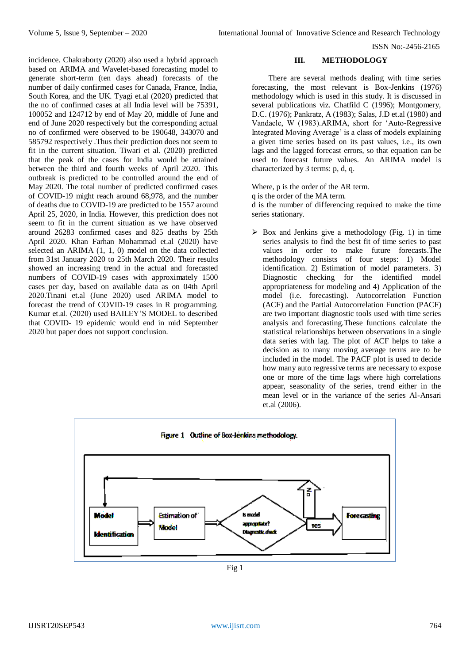incidence. Chakraborty (2020) also used a hybrid approach based on ARIMA and Wavelet-based forecasting model to generate short-term (ten days ahead) forecasts of the number of daily confirmed cases for Canada, France, India, South Korea, and the UK. Tyagi et.al (2020) predicted that the no of confirmed cases at all India level will be 75391, 100052 and 124712 by end of May 20, middle of June and end of June 2020 respectively but the corresponding actual no of confirmed were observed to be 190648, 343070 and 585792 respectively .Thus their prediction does not seem to fit in the current situation. Tiwari et al. (2020) predicted that the peak of the cases for India would be attained between the third and fourth weeks of April 2020. This outbreak is predicted to be controlled around the end of May 2020. The total number of predicted confirmed cases of COVID-19 might reach around 68,978, and the number of deaths due to COVID-19 are predicted to be 1557 around April 25, 2020, in India. However, this prediction does not seem to fit in the current situation as we have observed around 26283 confirmed cases and 825 deaths by 25th April 2020. Khan Farhan Mohammad et.al (2020) have selected an ARIMA (1, 1, 0) model on the data collected from 31st January 2020 to 25th March 2020. Their results showed an increasing trend in the actual and forecasted numbers of COVID-19 cases with approximately 1500 cases per day, based on available data as on 04th April 2020.Tinani et.al (June 2020) used ARIMA model to forecast the trend of COVID-19 cases in R programming. Kumar et.al. (2020) used BAILEY'S MODEL to described that COVID- 19 epidemic would end in mid September 2020 but paper does not support conclusion.

#### **III. METHODOLOGY**

There are several methods dealing with time series forecasting, the most relevant is Box-Jenkins (1976) methodology which is used in this study. It is discussed in several publications viz. Chatfild C (1996); Montgomery, D.C. (1976); Pankratz, A (1983); Salas, J.D et.al (1980) and Vandaele, W (1983).ARIMA, short for 'Auto-Regressive Integrated Moving Average' is a class of models explaining a given time series based on its past values, i.e., its own lags and the lagged forecast errors, so that equation can be used to forecast future values. An ARIMA model is characterized by 3 terms: p, d, q.

Where, p is the order of the AR term.

q is the order of the MA term.

d is the number of differencing required to make the time series stationary.

 $\triangleright$  Box and Jenkins give a methodology (Fig. 1) in time series analysis to find the best fit of time series to past values in order to make future forecasts.The methodology consists of four steps: 1) Model identification. 2) Estimation of model parameters. 3) Diagnostic checking for the identified model appropriateness for modeling and 4) Application of the model (i.e. forecasting). Autocorrelation Function (ACF) and the Partial Autocorrelation Function (PACF) are two important diagnostic tools used with time series analysis and forecasting.These functions calculate the statistical relationships between observations in a single data series with lag. The plot of ACF helps to take a decision as to many moving average terms are to be included in the model. The PACF plot is used to decide how many auto regressive terms are necessary to expose one or more of the time lags where high correlations appear, seasonality of the series, trend either in the mean level or in the variance of the series Al-Ansari et.al (2006).



Fig 1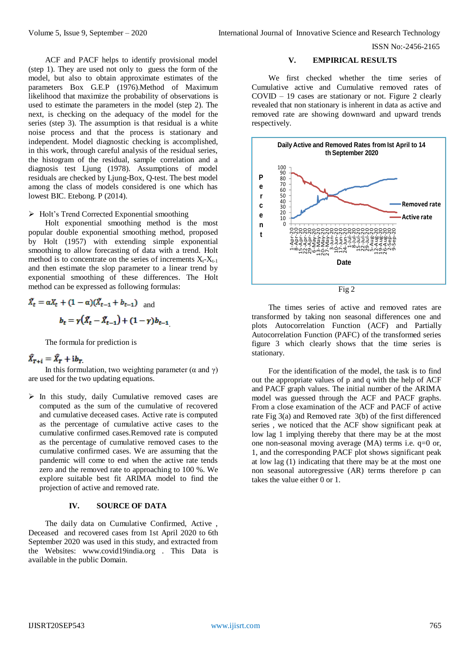ACF and PACF helps to identify provisional model (step 1). They are used not only to guess the form of the model, but also to obtain approximate estimates of the parameters Box G.E.P (1976).Method of Maximum likelihood that maximize the probability of observations is used to estimate the parameters in the model (step 2). The next, is checking on the adequacy of the model for the series (step 3). The assumption is that residual is a white noise process and that the process is stationary and independent. Model diagnostic checking is accomplished, in this work, through careful analysis of the residual series, the histogram of the residual, sample correlation and a diagnosis test Ljung (1978). Assumptions of model residuals are checked by Ljung-Box, Q-test. The best model among the class of models considered is one which has lowest BIC. Etebong. P (2014).

 $\triangleright$  Holt's Trend Corrected Exponential smoothing

Holt exponential smoothing method is the most popular double exponential smoothing method, proposed by Holt (1957) with extending simple exponential smoothing to allow forecasting of data with a trend. Holt method is to concentrate on the series of increments  $X_t - X_{t-1}$ and then estimate the slop parameter to a linear trend by exponential smoothing of these differences. The Holt method can be expressed as following formulas:

$$
\hat{X}_t = \alpha X_t + (1 - \alpha)(\hat{X}_{t-1} + b_{t-1}) \text{ and}
$$

$$
b_t = \gamma(\hat{X}_t - \hat{X}_{t-1}) + (1 - \gamma)b_{t-1}
$$

The formula for prediction is

## $\hat{X}_{T+i} = \hat{X}_T + i b_T$

In this formulation, two weighting parameter ( $\alpha$  and  $\gamma$ ) are used for the two updating equations.

 $\triangleright$  In this study, daily Cumulative removed cases are computed as the sum of the cumulative of recovered and cumulative deceased cases. Active rate is computed as the percentage of cumulative active cases to the cumulative confirmed cases.Removed rate is computed as the percentage of cumulative removed cases to the cumulative confirmed cases. We are assuming that the pandemic will come to end when the active rate tends zero and the removed rate to approaching to 100 %. We explore suitable best fit ARIMA model to find the projection of active and removed rate.

#### **IV. SOURCE OF DATA**

The daily data on Cumulative Confirmed, Active , Deceased and recovered cases from 1st April 2020 to 6th September 2020 was used in this study, and extracted from the Websites: [www.covid19india.org](http://www.covid19india.org/) . This Data is available in the public Domain.

#### **V. EMPIRICAL RESULTS**

We first checked whether the time series of Cumulative active and Cumulative removed rates of COVID – 19 cases are stationary or not. Figure 2 clearly revealed that non stationary is inherent in data as active and removed rate are showing downward and upward trends respectively.



The times series of active and removed rates are transformed by taking non seasonal differences one and plots Autocorrelation Function (ACF) and Partially Autocorrelation Function (PAFC) of the transformed series figure 3 which clearly shows that the time series is stationary.

For the identification of the model, the task is to find out the appropriate values of p and q with the help of ACF and PACF graph values. The initial number of the ARIMA model was guessed through the ACF and PACF graphs. From a close examination of the ACF and PACF of active rate Fig 3(a) and Removed rate 3(b) of the first differenced series , we noticed that the ACF show significant peak at low lag 1 implying thereby that there may be at the most one non-seasonal moving average (MA) terms i.e. q=0 or, 1, and the corresponding PACF plot shows significant peak at low lag (1) indicating that there may be at the most one non seasonal autoregressive (AR) terms therefore p can takes the value either 0 or 1.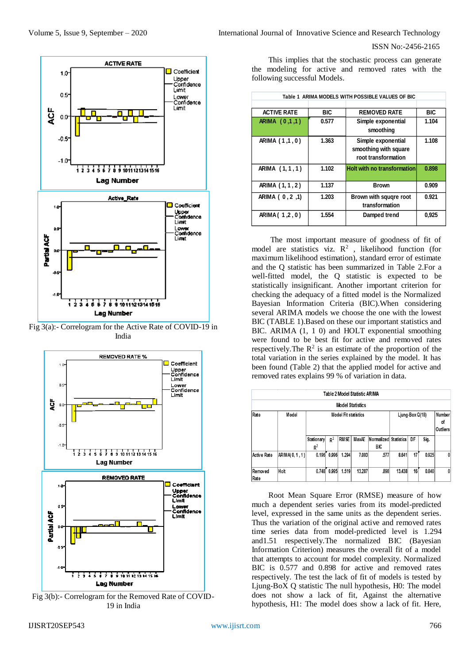

Fig 3(a):- Correlogram for the Active Rate of COVID-19 in India



Fig 3(b):- Correlogram for the Removed Rate of COVID-19 in India

This implies that the stochastic process can generate the modeling for active and removed rates with the following successful Models.

| Table 1 ARIMA MODELS WITH POSSIBLE VALUES OF BIC |            |                                                                    |            |  |  |  |  |  |
|--------------------------------------------------|------------|--------------------------------------------------------------------|------------|--|--|--|--|--|
| <b>ACTIVE RATE</b>                               | <b>BIC</b> | <b>REMOVED RATE</b>                                                | <b>BIC</b> |  |  |  |  |  |
| ARIMA (0,1,1)                                    | 0.577      | Simple exponential<br>smoothing                                    | 1.104      |  |  |  |  |  |
| ARIMA (1,1,0)                                    | 1.363      | Simple exponential<br>smoothing with square<br>root transformation | 1,108      |  |  |  |  |  |
| ARIMA (1,1,1)                                    | 1.102      | <b>Holt with no transformation</b>                                 | 0,898      |  |  |  |  |  |
| ARIMA (1, 1, 2)                                  | 1.137      | <b>Brown</b>                                                       | 0.909      |  |  |  |  |  |
| ARIMA ( 0, 2, 1)                                 | 1.203      | Brown with squqre root<br>transformation                           | 0.921      |  |  |  |  |  |
| ARIMA(1,2,0)                                     | 1.554      | Damped trend                                                       | 0,925      |  |  |  |  |  |

The most important measure of goodness of fit of model are statistics viz.  $\mathbb{R}^2$ , likelihood function (for maximum likelihood estimation), standard error of estimate and the Q statistic has been summarized in Table 2.For a well-fitted model, the Q statistic is expected to be statistically insignificant. Another important criterion for checking the adequacy of a fitted model is the Normalized Bayesian Information Criteria (BIC).When considering several ARIMA models we choose the one with the lowest BIC (TABLE 1).Based on these our important statistics and BIC. ARIMA (1, 1 0) and HOLT exponential smoothing were found to be best fit for active and removed rates respectively. The  $\mathbb{R}^2$  is an estimate of the proportion of the total variation in the series explained by the model. It has been found (Table 2) that the applied model for active and removed rates explains 99 % of variation in data.

|                    | Table 2 Model Statistic ARIMA |                     |                 |                          |                         |                              |        |    |       |   |  |  |  |
|--------------------|-------------------------------|---------------------|-----------------|--------------------------|-------------------------|------------------------------|--------|----|-------|---|--|--|--|
|                    |                               |                     |                 |                          | <b>Model Statistics</b> |                              |        |    |       |   |  |  |  |
| Rate               | Model                         |                     | Ljung-Box Q(18) | Number<br>οf<br>Outliers |                         |                              |        |    |       |   |  |  |  |
|                    |                               | Stationary<br>$R^2$ | $R^2$           | <b>RMSE</b>              | MaxAE                   | Normalized Statistics<br>BIC |        | DF | Sig.  |   |  |  |  |
| <b>Active Rate</b> | ARIMA(0,1,1)                  | 0.196               | 0.996           | 1.294                    | 7.003                   | .577                         | 8,641  | 17 | 0.925 | 0 |  |  |  |
| Removed<br>Rate    | Holt                          | 0.748               | 0.995           | 1.519                    | 13.287                  | .898                         | 13,438 | 16 | 0.840 | 0 |  |  |  |

Root Mean Square Error (RMSE) measure of how much a dependent series varies from its model-predicted level, expressed in the same units as the dependent series. Thus the variation of the original active and removed rates time series data from model-predicted level is 1.294 and1.51 respectively.The normalized BIC (Bayesian Information Criterion) measures the overall fit of a model that attempts to account for model complexity. Normalized BIC is 0.577 and 0.898 for active and removed rates respectively. The test the lack of fit of models is tested by Ljung-BoX Q statistic The null hypothesis, H0: The model does not show a lack of fit, Against the alternative hypothesis, H1: The model does show a lack of fit. Here,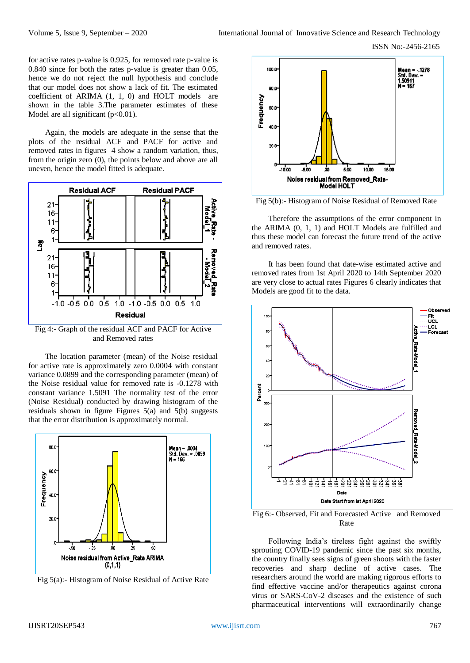for active rates p-value is 0.925, for removed rate p-value is 0.840 since for both the rates p-value is greater than 0.05, hence we do not reject the null hypothesis and conclude that our model does not show a lack of fit. The estimated coefficient of ARIMA (1, 1, 0) and HOLT models are shown in the table 3.The parameter estimates of these Model are all significant  $(p<0.01)$ .

Again, the models are adequate in the sense that the plots of the residual ACF and PACF for active and removed rates in figures 4 show a random variation, thus, from the origin zero (0), the points below and above are all uneven, hence the model fitted is adequate.



Fig 4:- Graph of the residual ACF and PACF for Active and Removed rates

The location parameter (mean) of the Noise residual for active rate is approximately zero 0.0004 with constant variance 0.0899 and the corresponding parameter (mean) of the Noise residual value for removed rate is -0.1278 with constant variance 1.5091 The normality test of the error (Noise Residual) conducted by drawing histogram of the residuals shown in figure Figures 5(a) and 5(b) suggests that the error distribution is approximately normal.



Fig 5(a):- Histogram of Noise Residual of Active Rate



Fig 5(b):- Histogram of Noise Residual of Removed Rate

Therefore the assumptions of the error component in the ARIMA (0, 1, 1) and HOLT Models are fulfilled and thus these model can forecast the future trend of the active and removed rates.

It has been found that date-wise estimated active and removed rates from 1st April 2020 to 14th September 2020 are very close to actual rates Figures 6 clearly indicates that Models are good fit to the data.



Fig 6:- Observed, Fit and Forecasted Active and Removed Rate

Following India's tireless fight against the swiftly sprouting COVID-19 pandemic since the past six months, the country finally sees signs of green shoots with the faster recoveries and sharp decline of active cases. The researchers around the world are making rigorous efforts to find effective vaccine and/or therapeutics against corona virus or SARS-CoV-2 diseases and the existence of such pharmaceutical interventions will extraordinarily change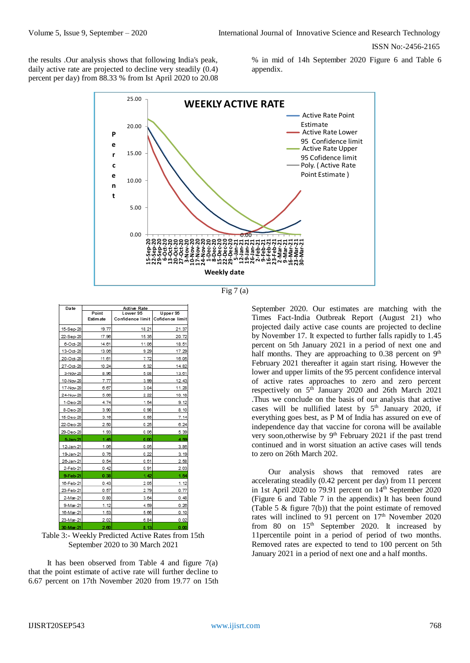the results .Our analysis shows that following India's peak, daily active rate are projected to decline very steadily (0.4) percent per day) from 88.33 % from Ist April 2020 to 20.08

% in mid of 14h September 2020 Figure 6 and Table 6 appendix.



Fig  $7(a)$ 

Date Active Rate<br>Lower 95 Point Upper 95 **Estimate** .<br>Confidence limit Cofidence limi 15-Sep-20  $19.7$  $18.2$  $21.37$  $15.35$ 17.96 20.72 22-Sep-20 6-Oct-20  $14.6'$  $11.0$ 18.51 13-Oct-20 13.08  $9.29$ 17.29  $11.61$ 20-Oct-20  $7.72$ 16.05 27-Oct-20  $10.24$  $6.3$ 14.82  $3-Nov-20$  $8.96$  $5.05$  $13.61$  $12.43$ 10-Nov-20  $7.77$  $3.99$  $6.67$ 17-Nov-20  $3.04$ 11.28 24-Nov-20 5.66  $2.22$ 10.18 1-Deo-20 4.74  $1.5$  $9.12$ 8-Deo-20 3.90  $0.98$ 8.10  $3.16$  $0.55$  $7.14$ 15-Deo-20 22-Dec-20  $2.50$  $0.25$  $6.24$ 29-Dec-20 1.93  $0.06$ 5.39 5. la - 21 4. A o o **A RO** 12-Jan-21  $1.06$  $0.05$  $3.86$  $3.19$ 19-Jan-21  $0.76$  $0.2$ 26-Jan-21  $0.54$  $0.5$  $2.58$  $0.42$ 2-Feb-21  $0.91$  $2.03$ 9-Feb-21  $1.42$  $0.3<sub>0</sub>$ 16-Feb-21  $0.43$ 2.05  $1.12$ 23-Feb-21  $0.57$  $2.75$  $0.77$ 2-Mar-21  $0.80$  $3.6$  $0.48$ 9-Mar-21  $1.12$ 4.55  $0.26$  $0.10$ 16-Mar-21  $1.53$  $5.08$ 23-Mar-21  $2.02$  $6.84$  $0.02$ 30-Mar-2

Table 3:- Weekly Predicted Active Rates from 15th September 2020 to 30 March 2021

It has been observed from Table 4 and figure 7(a) that the point estimate of active rate will further decline to 6.67 percent on 17th November 2020 from 19.77 on 15th

September 2020. Our estimates are matching with the Times Fact-India Outbreak Report (August 21) who projected daily active case counts are projected to decline by November 17. It expected to further falls rapidly to 1.45 percent on 5th January 2021 in a period of next one and half months. They are approaching to 0.38 percent on  $9<sup>th</sup>$ February 2021 thereafter it again start rising. However the lower and upper limits of the 95 percent confidence interval of active rates approaches to zero and zero percent respectively on 5<sup>th</sup> January 2020 and 26th March 2021 .Thus we conclude on the basis of our analysis that active cases will be nullified latest by  $5<sup>th</sup>$  January 2020, if everything goes best, as P M of India has assured on eve of independence day that vaccine for corona will be available very soon, otherwise by 9<sup>th</sup> February 2021 if the past trend continued and in worst situation an active cases will tends to zero on 26th March 202.

Our analysis shows that removed rates are accelerating steadily (0.42 percent per day) from 11 percent in 1st April 2020 to 79.91 percent on 14<sup>th</sup> September 2020 (Figure 6 and Table 7 in the appendix) It has been found (Table 5 & figure 7(b)) that the point estimate of removed rates will inclined to 91 percent on 17<sup>th</sup> November 2020 from 80 on  $15<sup>th</sup>$  September 2020. It increased by 11percentile point in a period of period of two months. Removed rates are expected to tend to 100 percent on 5th January 2021 in a period of next one and a half months.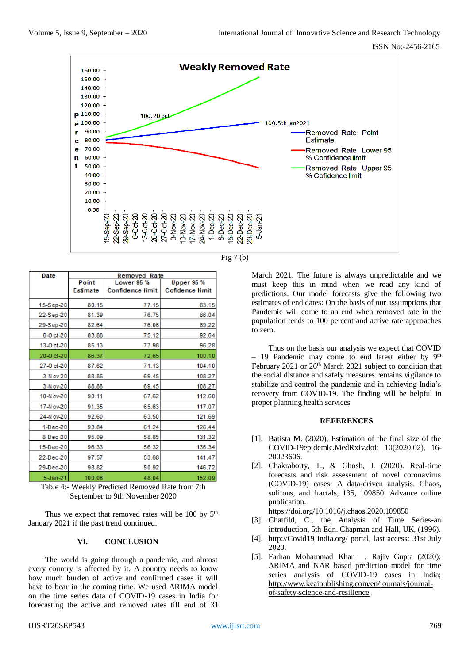

Fig  $7<sub>(b)</sub>$ 

| Date           | Removed Rate |                         |                   |  |  |  |  |  |  |
|----------------|--------------|-------------------------|-------------------|--|--|--|--|--|--|
|                | Point        | Lower 95 %              | <b>Upper 95 %</b> |  |  |  |  |  |  |
|                | Estimate     | <b>Confidence limit</b> | Cofidence limit   |  |  |  |  |  |  |
| 15-Sep-20      | 80.15        | 77.15                   | 83.15             |  |  |  |  |  |  |
| 22-Sep-20      | 81.39        | 76.75                   | 86.04             |  |  |  |  |  |  |
| 29-Sep-20      | 82.64        | 76.06                   | 89.22             |  |  |  |  |  |  |
| 6-0 ct-20      | 83.88        | 75.12                   | 92.64             |  |  |  |  |  |  |
| 13-0 ct-20     | 85.13        | 73.98                   | 96.28             |  |  |  |  |  |  |
| 20-0 ct-20     | 86.37        | 72.65                   | 100.10            |  |  |  |  |  |  |
| 27-0 ct-20     | 87.62        | 71.13                   | 104.10            |  |  |  |  |  |  |
| 3-N ov-20      | 88.86        | 69.45                   | 108.27            |  |  |  |  |  |  |
| 3-N ov-20      | 88.86        | 69.45                   | 108.27            |  |  |  |  |  |  |
| 10-Nov-20      | 90.11        | 67.62                   | 112.60            |  |  |  |  |  |  |
| 17-N ov-20     | 91.35        | 65.63                   | 117.07            |  |  |  |  |  |  |
| 24-N ov-20     | 92.60        | 63.50                   | 121.69            |  |  |  |  |  |  |
| 1-Dec-20       | 93.84        | 61.24                   | 126.44            |  |  |  |  |  |  |
| 8-Dec-20       | 95.09        | 58.85                   | 131.32            |  |  |  |  |  |  |
| 15-Dec-20      | 96.33        | 56.32                   | 136.34            |  |  |  |  |  |  |
| 22-Dec-20      | 97.57        | 53.68                   | 141.47            |  |  |  |  |  |  |
| 29-Dec-20      | 98.82        | 50.92                   | 146.72            |  |  |  |  |  |  |
| $5 - Jan - 21$ | 100.06       | 48.04                   | 152.09            |  |  |  |  |  |  |

Table 4:- Weekly Predicted Removed Rate from 7th September to 9th November 2020

Thus we expect that removed rates will be 100 by  $5<sup>th</sup>$ January 2021 if the past trend continued.

#### **VI. CONCLUSION**

The world is going through a pandemic, and almost every country is affected by it. A country needs to know how much burden of active and confirmed cases it will have to bear in the coming time. We used ARIMA model on the time series data of COVID-19 cases in India for forecasting the active and removed rates till end of 31

March 2021. The future is always unpredictable and we must keep this in mind when we read any kind of predictions. Our model forecasts give the following two estimates of end dates: On the basis of our assumptions that Pandemic will come to an end when removed rate in the population tends to 100 percent and active rate approaches to zero.

Thus on the basis our analysis we expect that COVID  $-$  19 Pandemic may come to end latest either by 9<sup>th</sup> February 2021 or  $26<sup>th</sup>$  March 2021 subject to condition that the social distance and safely measures remains vigilance to stabilize and control the pandemic and in achieving India's recovery from COVID-19. The finding will be helpful in proper planning health services

#### **REFERENCES**

- [1]. Batista M. (2020), Estimation of the final size of the COVID-19epidemic.MedRxiv.doi: 10(2020.02), 16- 20023606.
- [2]. Chakraborty, T., & Ghosh, I. (2020). Real-time forecasts and risk assessment of novel coronavirus (COVID-19) cases: A data-driven analysis. Chaos, solitons, and fractals, 135, 109850. Advance online publication.

https://doi.org/10.1016/j.chaos.2020.109850

- [3]. Chatfild, C., the Analysis of Time Series-an introduction, 5th Edn. Chapman and Hall, UK, (1996).
- [4]. [http://Covid19](http://covid19/) india.org/ portal, last access: 31st July 2020.
- [5]. Farhan Mohammad Khan , Rajiv Gupta (2020): ARIMA and NAR based prediction model for time series analysis of COVID-19 cases in India; [http://www.keaipublishing.com/en/journals/journal](http://www.keaipublishing.com/en/journals/journal-of-safety-science-and-resilience)[of-safety-science-and-resilience](http://www.keaipublishing.com/en/journals/journal-of-safety-science-and-resilience)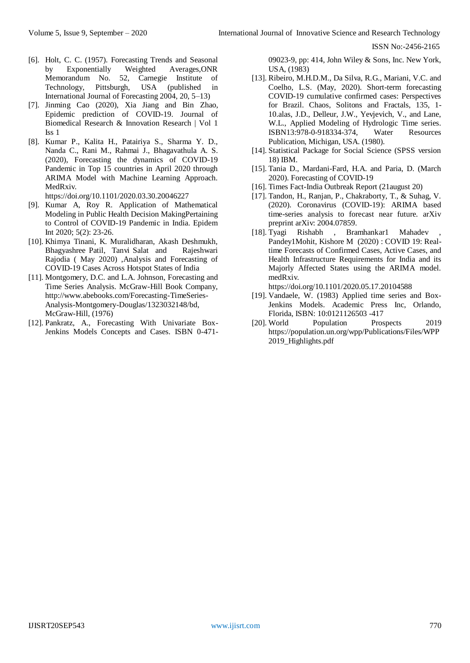- [6]. Holt, C. C. (1957). Forecasting Trends and Seasonal by Exponentially Weighted Averages,ONR Memorandum No. 52, Carnegie Institute of Technology, Pittsburgh, USA (published in International Journal of Forecasting 2004, 20, 5–13)
- [7]. Jinming Cao (2020), Xia Jiang and Bin Zhao, Epidemic prediction of COVID-19. Journal of Biomedical Research & Innovation Research | Vol 1 Iss 1
- [8]. Kumar P., Kalita H., Patairiya S., Sharma Y. D., Nanda C., Rani M., Rahmai J., Bhagavathula A. S. (2020), Forecasting the dynamics of COVID-19 Pandemic in Top 15 countries in April 2020 through ARIMA Model with Machine Learning Approach. MedRxiv.

https://doi.org/10.1101/2020.03.30.20046227

- [9]. Kumar A, Roy R. Application of Mathematical Modeling in Public Health Decision MakingPertaining to Control of COVID-19 Pandemic in India. Epidem Int 2020; 5(2): 23-26.
- [10]. Khimya Tinani, K. Muralidharan, Akash Deshmukh, Bhagyashree Patil, Tanvi Salat and Rajeshwari Rajodia ( May 2020) ,Analysis and Forecasting of COVID-19 Cases Across Hotspot States of India
- [11]. Montgomery, D.C. and L.A. Johnson, Forecasting and Time Series Analysis. McGraw-Hill Book Company, http://www.abebooks.com/Forecasting-TimeSeries-Analysis-Montgomery-Douglas/1323032148/bd, McGraw-Hill, (1976)
- [12]. Pankratz, A., Forecasting With Univariate Box-Jenkins Models Concepts and Cases. ISBN 0-471-

09023-9, pp: 414, John Wiley & Sons, Inc. New York, USA, (1983)

- [13]. Ribeiro, M.H.D.M., Da Silva, R.G., Mariani, V.C. and Coelho, L.S. (May, 2020). Short-term forecasting COVID-19 cumulative confirmed cases: Perspectives for Brazil. Chaos, Solitons and Fractals, 135, 1- 10.alas, J.D., Delleur, J.W., Yevjevich, V., and Lane, W.L., Applied Modeling of Hydrologic Time series. ISBN13:978-0-918334-374, Water Resources Publication, Michigan, USA. (1980).
- [14]. Statistical Package for Social Science (SPSS version 18) IBM.
- [15]. Tania D., Mardani-Fard, H.A. and Paria, D. (March 2020). Forecasting of COVID-19
- [16]. Times Fact-India Outbreak Report (21august 20)
- [17]. Tandon, H., Ranjan, P., Chakraborty, T., & Suhag, V. (2020). Coronavirus (COVID-19): ARIMA based time-series analysis to forecast near future. arXiv preprint arXiv: 2004.07859.
- [18]. Tyagi Rishabh , Bramhankar1 Mahadev Pandey1Mohit, Kishore M (2020) : COVID 19: Realtime Forecasts of Confirmed Cases, Active Cases, and Health Infrastructure Requirements for India and its Majorly Affected States using the ARIMA model. medRxiv.

https://doi.org/10.1101/2020.05.17.20104588

- [19]. Vandaele, W. (1983) Applied time series and Box-Jenkins Models. Academic Press Inc, Orlando, Florida, ISBN: 10:0121126503 -417
- [20]. World Population Prospects 2019 https://population.un.org/wpp/Publications/Files/WPP 2019 Highlights.pdf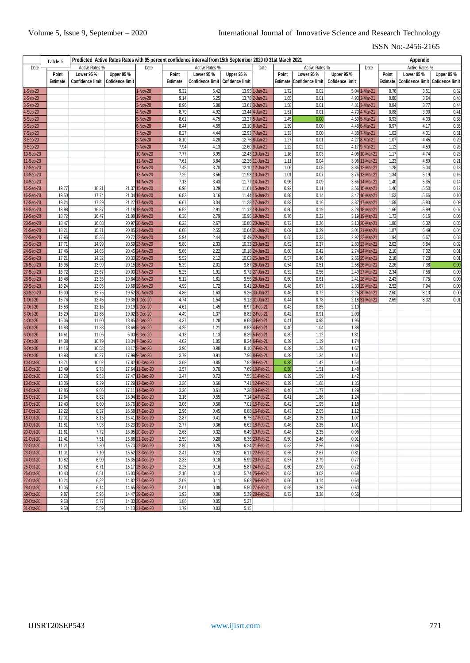|                        | Predicted Active Rates Rates with 95 percent confidence interval from 15th September 2020 t0 31st March 2021<br>Appendix<br>Table 5 |                  |                        |                                    |              |                                    |                        |                                    |              |                                   |                        |                                  |              |                                               |                   |
|------------------------|-------------------------------------------------------------------------------------------------------------------------------------|------------------|------------------------|------------------------------------|--------------|------------------------------------|------------------------|------------------------------------|--------------|-----------------------------------|------------------------|----------------------------------|--------------|-----------------------------------------------|-------------------|
| Date                   |                                                                                                                                     | Active Rates %   |                        | Date                               |              | Active Rates %                     | Active Rates %<br>Date |                                    |              |                                   |                        | Active Rates %<br>Date           |              |                                               |                   |
|                        | Point                                                                                                                               | Lower 95 %       | Upper 95%              |                                    | Point        | Lower 95%<br>Upper 95 %            |                        |                                    |              | Point<br>Lower 95 %<br>Upper 95 % |                        |                                  | Point        | Lower 95%                                     | <b>Upper 95 %</b> |
|                        | Estimate                                                                                                                            | Confidence limit | <b>Cofidence limit</b> |                                    | Estimate     | Confidence limit   Cofidence limit |                        |                                    |              | Estimate Confidence limit         | <b>Cofidence limit</b> |                                  |              | Estimate   Confidence limit   Cofidence limit |                   |
| 1-Sep-20               |                                                                                                                                     |                  |                        | 1-Nov-20                           | 9.32         | 5.42                               |                        | 13.95 1-Jan-21                     | 1.72         | 0.02                              |                        | 5.04 1-Mar-21                    | 0.76         | 3.51                                          | 0.52              |
| 2-Sep-20               |                                                                                                                                     |                  |                        | 2-Nov-20                           | 9.14         | 5.25                               |                        | 13.78 2-Jan-21                     | 1.65         | 0.01                              |                        | 4.93 2-Mar-21                    | 0.80         | 3.64                                          | 0.48              |
| 3-Sep-20               |                                                                                                                                     |                  |                        | 3-Nov-20                           | 8.96         | 5.08                               |                        | 13.61 3-Jan-21                     | 1.58         | 0.01                              |                        | 4.81 3-Mar-21                    | 0.84         | 3.77                                          | 0.44              |
| 4-Sep-20               |                                                                                                                                     |                  |                        | 1-Nov-20                           | 8.79         | 4.92                               |                        | 13.44 4-Jan-21                     | 1.51         | 0.01                              |                        | 4.70 4-Mar-21                    | 0.88         | 3.90                                          | 0.41              |
| 5-Sep-20               |                                                                                                                                     |                  |                        | $5-Nov-20$                         | 8.61         | 4.75                               |                        | 13.27 5-Jan-21                     | 1.45         | 0.00                              |                        | 4.59 5-Mar-21                    | 0.93         | 4.03                                          | 0.38              |
| 6-Sep-20               |                                                                                                                                     |                  |                        | $5-Nov-20$                         | 8.44         | 4.59                               |                        | 13.10 6-Jan-21                     | 1.39         | 0.00                              |                        | 4.48 6-Mar-21                    | 0.97         | 4.17                                          | 0.35              |
| 7-Sep-20               |                                                                                                                                     |                  |                        | 7-Nov-20                           | 8.27         | 4.44                               |                        | 12.93 7-Jan-21                     | 1.33         | 0.00                              |                        | 4.38 7-Mar-21                    | 1.02         | 4.31                                          | 0.31              |
| 8-Sep-20               |                                                                                                                                     |                  |                        | 8-Nov-20                           | 8.10         | 4.28                               |                        | 12.76 8-Jan-21                     | 1.27         | 0.01                              |                        | 4.27 8-Mar-21                    | 1.07         | 4.45                                          | 0.29              |
| 9-Sep-20               |                                                                                                                                     |                  |                        | 9-Nov-20                           | 7.94         | 4.13                               |                        | 12.60 9-Jan-21                     | 1.22         | 0.02                              |                        | 4.17 9-Mar-21                    | 1.12         | 4.59                                          | 0.26              |
| 10-Sep-20              |                                                                                                                                     |                  |                        | 10-Nov-20                          | 7.77         | 3.99                               |                        | 12.43 10-Jan-21                    | 1.16         | 0.03                              |                        | 4.06 10-Mar-21                   | 1.17         | 4.74                                          | 0.23              |
| 11-Sep-20              |                                                                                                                                     |                  |                        | 11-Nov-20                          | 7.61         | 3.84                               |                        | 12.26 11-Jan-21                    | 1.11         | 0.04                              |                        | 3.96 11-Mar-21                   | 1.23         | 4.89                                          | 0.21              |
| 12-Sep-20              |                                                                                                                                     |                  |                        | 12-Nov-20                          | 7.45         | 3.70                               |                        | 12.10 12-Jan-21                    | 1.06         | 0.05                              |                        | 3.86 12-Mar-21                   | 1.28         | 5.04                                          | 0.18              |
| 13-Sep-20              |                                                                                                                                     |                  |                        | 13-Nov-20                          | 7.29         | 3.56                               |                        | 11.93 13-Jan-21                    | 1.01         | 0.07                              |                        | 3.76 13-Mar-21                   | 1.34         | 5.19                                          | 0.16              |
| 14-Sep-20              |                                                                                                                                     |                  |                        | 14-Nov-20                          | 7.13         | 3.43                               |                        | 11.77 14-Jan-21                    | 0.96         | 0.09                              |                        | 3.66 14-Mar-21                   | 1.40         | 5.35                                          | 0.14              |
| 15-Sep-20              | 19.77<br>19.50                                                                                                                      | 18.21<br>17.74   |                        | 21.37 15-Nov-20                    | 6.98<br>6.83 | 3.29                               |                        | 11.61 15-Jan-21                    | 0.92<br>0.88 | 0.11<br>0.14                      |                        | 3.56 15-Mar-21<br>3.47 16-Mar-21 | 1.46<br>1.53 | 5.50                                          | 0.12<br>0.10      |
| 16-Sep-20<br>17-Sep-20 | 19.24                                                                                                                               | 17.29            |                        | 21.34 16-Nov-20<br>21.27 17-Nov-20 | 6.67         | 3.16<br>3.04                       |                        | 11.44 16-Jan-21<br>11.28 17-Jan-21 | 0.83         | 0.16                              |                        | 3.37 17-Mar-21                   | 1.59         | 5.66<br>5.83                                  | 0.09              |
| 18-Sep-20              | 18.98                                                                                                                               | 16.87            |                        | 21.18 18-Nov-20                    | 6.52         | 2.91                               |                        | 11.12 18-Jan-21                    | 0.80         | 0.19                              |                        | 3.28 18-Mar-21                   | 1.66         | 5.99                                          | 0.07              |
| 19-Sep-20              | 18.72                                                                                                                               | 16.47            |                        | 21.08 19-Nov-20                    | 6.38         | 2.79                               |                        | 10.96 19-Jan-21                    | 0.76         | 0.22                              |                        | 3.19 19-Mar-21                   | 1.73         | 6.16                                          | 0.06              |
| 20-Sep-20              | 18.47                                                                                                                               | 16.08            |                        | 20.97 20-Nov-20                    | 6.23         | 2.67                               |                        | 10.80 20-Jan-21                    | 0.72         | 0.26                              |                        | 3.10 20-Mar-21                   | 1.80         | 6.32                                          | 0.05              |
| 21-Sep-20              | 18.21                                                                                                                               | 15.71            |                        | 20.85 21-Nov-20                    | 6.08         | 2.55                               |                        | 10.64 21-Jan-21                    | 0.69         | 0.29                              |                        | 3.01 21-Mar-21                   | 1.87         | 6.49                                          | 0.04              |
| 22-Sep-20              | 17.96                                                                                                                               | 15.35            |                        | 20.72 22-Nov-20                    | 5.94         | 2.44                               |                        | 10.49 22-Jan-21                    | 0.65         | 0.33                              |                        | 2.92 22-Mar-21                   | 1.94         | 6.67                                          | 0.03              |
| 23-Sep-20              | 17.71                                                                                                                               | 14.99            |                        | 20.59 23-Nov-20                    | 5.80         | 2.33                               |                        | 10.33 23-Jan-21                    | 0.62         | 0.37                              |                        | 2.83 23-Mar-21                   | 2.02         | 6.84                                          | 0.02              |
| 24-Sep-20              | 17.46                                                                                                                               | 14.65            |                        | 20.45 24-Nov-20                    | 5.66         | 2.22                               |                        | 10.18 24-Jan-21                    | 0.60         | 0.42                              |                        | 2.74 24-Mar-21                   | 2.10         | 7.02                                          | 0.01              |
| 25-Sep-20              | 17.21                                                                                                                               | 14.32            |                        | 20.30 25-Nov-20                    | 5.52         | 2.12                               |                        | 10.02 25-Jan-21                    | 0.57         | 0.46                              |                        | 2.66 25-Mar-21                   | 2.18         | 7.20                                          | 0.01              |
| 26-Sep-20              | 16.96                                                                                                                               | 13.99            |                        | 20.15 26-Nov-20                    | 5.39         | 2.01                               |                        | 9.87 26-Jan-21                     | 0.54         | 0.51                              |                        | 2.58 26-Mar-21                   | 2.26         | 7.38                                          | 0.00              |
| 27-Sep-20              | 16.72                                                                                                                               | 13.67            |                        | 20.00 27-Nov-20                    | 5.25         | 1.91                               |                        | 9.72 27-Jan-21                     | 0.52         | 0.56                              |                        | 2.49 27-Mar-21                   | 2.34         | 7.56                                          | 0.00              |
| 28-Sep-20              | 16.48                                                                                                                               | 13.35            |                        | 19.84 28-Nov-20                    | 5.12         | 1.81                               |                        | 9.56 28-Jan-21                     | 0.50         | 0.61                              |                        | 2.41 28-Mar-21                   | 2.43         | 7.75                                          | 0.00              |
| 29-Sep-20              | 16.24                                                                                                                               | 13.05            |                        | 19.68 29-Nov-20                    | 4.99         | 1.72                               |                        | 9.41 29-Jan-21                     | 0.48         | 0.67                              |                        | 2.33 29-Mar-21                   | 2.52         | 7.94                                          | 0.00              |
| 30-Sep-20              | 16.00                                                                                                                               | 12.75<br>12.45   |                        | 19.52 30-Nov-20<br>19.36 1-Dec-20  | 4.86<br>4.74 | 1.63<br>1.54                       |                        | 9.26 30-Jan-21                     | 0.46         | 0.72                              |                        | 2.25 30-Mar-21                   | 2.60<br>2.69 | 8.13                                          | 0.00              |
| 1-Oct-20<br>2-Oct-20   | 15.76<br>15.53                                                                                                                      | 12.16            |                        | 19.19 2-Dec-20                     | 4.61         | 1.45                               |                        | 9.12 31-Jan-21<br>8.97 1-Feb-21    | 0.44<br>0.43 | 0.78<br>0.85                      | 2.10                   | 2.18 31-Mar-21                   |              | 8.32                                          | 0.01              |
| 3-Oct-20               | 15.29                                                                                                                               | 11.88            |                        | 19.02 3-Dec-20                     | 4.49         | 1.37                               |                        | 8.82 2-Feb-21                      | 0.42         | 0.91                              | 2.03                   |                                  |              |                                               |                   |
| 4-Oct-20               | 15.06                                                                                                                               | 11.60            |                        | 18.85 4-Dec-20                     | 4.37         | 1.28                               |                        | 8.68 3-Feb-21                      | 0.41         | 0.98                              | 1.95                   |                                  |              |                                               |                   |
| 5-Oct-20               | 14.83                                                                                                                               | 11.33            |                        | 18.68 5-Dec-20                     | 4.25         | 1.21                               |                        | 8.53 4-Feb-21                      | 0.40         | 1.04                              | 1.88                   |                                  |              |                                               |                   |
| 6-Oct-20               | 14.61                                                                                                                               | 11.06            |                        | 6.00 6-Dec-20                      | 4.13         | 1.13                               |                        | 8.39 5-Feb-21                      | 0.39         | 1.12                              | 1.81                   |                                  |              |                                               |                   |
| 7-Oct-20               | 14.38                                                                                                                               | 10.79            |                        | 18.34 7-Dec-20                     | 4.02         | 1.05                               |                        | 8.24 6-Feb-21                      | 0.39         | 1.19                              | 1.74                   |                                  |              |                                               |                   |
| 8-Oct-20               | 14.16                                                                                                                               | 10.53            |                        | 18.17 8-Dec-20                     | 3.90         | 0.98                               |                        | 8.10 7-Feb-21                      | 0.39         | 1.26                              | 1.67                   |                                  |              |                                               |                   |
| 9-Oct-20               | 13.93                                                                                                                               | 10.27            |                        | 17.99 9-Dec-20                     | 3.79         | 0.91                               |                        | 7.96 8-Feb-21                      | 0.39         | 1.34                              | 1.61                   |                                  |              |                                               |                   |
| 10-Oct-20              | 13.71                                                                                                                               | 10.02            |                        | 17.82 10-Dec-20                    | 3.68         | 0.85                               |                        | 7.82 9-Feb-21                      | 0.38         | 1.42                              | 1.54                   |                                  |              |                                               |                   |
| 11-Oct-20              | 13.49                                                                                                                               | 9.78             |                        | 17.64 11-Dec-20                    | 3.57         | 0.78                               |                        | 7.69 10-Feb-21                     | 0.38         | 1.51                              | 1.48                   |                                  |              |                                               |                   |
| 12-Oct-20              | 13.28                                                                                                                               | 9.53             |                        | 17.47 12-Dec-20                    | 3.47         | 0.72                               |                        | 7.55 11-Feb-21                     | 0.39         | 1.59                              | 1.42                   |                                  |              |                                               |                   |
| 13-Oct-20              | 13.06<br>12.85                                                                                                                      | 9.29             |                        | 17.29 13-Dec-20                    | 3.36         | 0.66                               |                        | 7.41 12-Feb-21                     | 0.39         | 1.68                              | 1.35<br>1.29           |                                  |              |                                               |                   |
| 14-Oct-20<br>15-Oct-20 | 12.64                                                                                                                               | 9.06<br>8.82     |                        | 17.11 14-Dec-20<br>16.94 15-Dec-20 | 3.26<br>3.16 | 0.61<br>0.55                       |                        | 7.28 13-Feb-21<br>7.14 14-Feb-21   | 0.40<br>0.41 | 1.77<br>1.86                      | 1.24                   |                                  |              |                                               |                   |
| 16-Oct-20              | 12.43                                                                                                                               | 8.60             |                        | 16.76 16-Dec-20                    | 3.06         | 0.50                               |                        | 7.01 15-Feb-21                     | 0.42         | 1.95                              | 1.18                   |                                  |              |                                               |                   |
| 17-Oct-20              | 12.22                                                                                                                               | 8.37             |                        | 16.58 17-Dec-20                    | 2.96         | 0.45                               |                        | 6.88 16-Feb-21                     | 0.43         | 2.05                              | 1.12                   |                                  |              |                                               |                   |
| 18-Oct-20              | 12.01                                                                                                                               | 8.15             |                        | 16.41 18-Dec-20                    | 2.87         | 0.41                               |                        | 6.75 17-Feb-21                     | 0.45         | 2.15                              | 1.07                   |                                  |              |                                               |                   |
| 19-Oct-20              | 11.81                                                                                                                               | 7.93             |                        | 16.23 19-Dec-20                    | 2.77         | 0.36                               |                        | 6.62 18-Feb-21                     | 0.46         | 2.25                              | 1.01                   |                                  |              |                                               |                   |
| 20-Oct-20              | 11.61                                                                                                                               | 7.72             |                        | 16.05 20-Dec-20                    | 2.68         | 0.32                               |                        | 6.49 19-Feb-21                     | 0.48         | 2.35                              | 0.96                   |                                  |              |                                               |                   |
| 21-Oct-20              | 11.41                                                                                                                               | 7.51             |                        | 15.88 21-Dec-20                    | 2.59         | 0.28                               |                        | 6.36 20-Feb-21                     | 0.50         | 2.46                              | 0.91                   |                                  |              |                                               |                   |
| 22-Oct-20              | 11.21                                                                                                                               | 7.30             |                        | 15.70 22-Dec-20                    | 2.50         | 0.25                               |                        | 6.24 21-Feb-21                     | 0.52         | 2.56                              | 0.86                   |                                  |              |                                               |                   |
| 23-Oct-20              | 11.01                                                                                                                               | 7.10             |                        | 15.52 23-Dec-20                    | 2.41         | 0.22                               |                        | 6.11 22-Feb-21                     | 0.55         | 2.67                              | 0.81                   |                                  |              |                                               |                   |
| 24-Oct-20              | 10.82                                                                                                                               | 6.90             |                        | 15.35 24-Dec-20                    | 2.33         | 0.18                               |                        | 5.99 23-Feb-21                     | 0.57         | 2.79                              | 0.77                   |                                  |              |                                               |                   |
| 25-Oct-20              | 10.62                                                                                                                               | 6.71             |                        | 15.17 25-Dec-20                    | 2.25         | 0.16                               |                        | 5.87 24-Feb-21                     | 0.60         | 2.90                              | 0.72                   |                                  |              |                                               |                   |
| 26-Oct-20              | 10.43                                                                                                                               | 6.51             |                        | 15.00 26-Dec-20                    | 2.16         | 0.13                               |                        | 5.74 25-Feb-21                     | 0.63         | 3.02                              | 0.68                   |                                  |              |                                               |                   |
| 27-Oct-20              | 10.24                                                                                                                               | 6.32             |                        | 14.82 27-Dec-20                    | 2.09         | 0.11                               |                        | 5.62 26-Feb-21                     | 0.66         | 3.14                              | 0.64                   |                                  |              |                                               |                   |
| 28-Oct-20              | 10.05                                                                                                                               | 6.14             |                        | 14.65 28-Dec-20                    | 2.01         | 0.08                               |                        | 5.50 27-Feb-21                     | 0.69         | 3.26                              | 0.60                   |                                  |              |                                               |                   |
| 29-Oct-20<br>30-Oct-20 | 9.87<br>9.68                                                                                                                        | 5.95<br>5.77     |                        | 14.47 29-Dec-20<br>14.30 30-Dec-20 | 1.93<br>1.86 | 0.06<br>0.05                       | 5.27                   | 5.39 28-Feb-21                     | 0.73         | 3.38                              | 0.56                   |                                  |              |                                               |                   |
| 31-Oct-20              | 9.50                                                                                                                                | 5.59             |                        | 14.13 31-Dec-20                    | 1.79         | 0.03                               | 5.15                   |                                    |              |                                   |                        |                                  |              |                                               |                   |